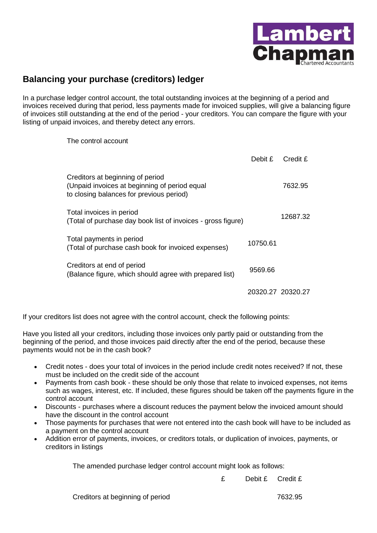

## **Balancing your purchase (creditors) ledger**

In a purchase ledger control account, the total outstanding invoices at the beginning of a period and invoices received during that period, less payments made for invoiced supplies, will give a balancing figure of invoices still outstanding at the end of the period - your creditors. You can compare the figure with your listing of unpaid invoices, and thereby detect any errors.

The control account

|                                                                                                                               | Debit £  | Credit £          |
|-------------------------------------------------------------------------------------------------------------------------------|----------|-------------------|
| Creditors at beginning of period<br>(Unpaid invoices at beginning of period equal<br>to closing balances for previous period) |          | 7632.95           |
| Total invoices in period<br>(Total of purchase day book list of invoices - gross figure)                                      |          | 12687.32          |
| Total payments in period<br>(Total of purchase cash book for invoiced expenses)                                               | 10750.61 |                   |
| Creditors at end of period<br>(Balance figure, which should agree with prepared list)                                         | 9569.66  |                   |
|                                                                                                                               |          | 20320.27 20320.27 |

If your creditors list does not agree with the control account, check the following points:

Have you listed all your creditors, including those invoices only partly paid or outstanding from the beginning of the period, and those invoices paid directly after the end of the period, because these payments would not be in the cash book?

- Credit notes does your total of invoices in the period include credit notes received? If not, these must be included on the credit side of the account
- Payments from cash book these should be only those that relate to invoiced expenses, not items such as wages, interest, etc. If included, these figures should be taken off the payments figure in the control account
- Discounts purchases where a discount reduces the payment below the invoiced amount should have the discount in the control account
- Those payments for purchases that were not entered into the cash book will have to be included as a payment on the control account
- Addition error of payments, invoices, or creditors totals, or duplication of invoices, payments, or creditors in listings

The amended purchase ledger control account might look as follows:

£ Debit £ Credit £

Creditors at beginning of period 7632.95